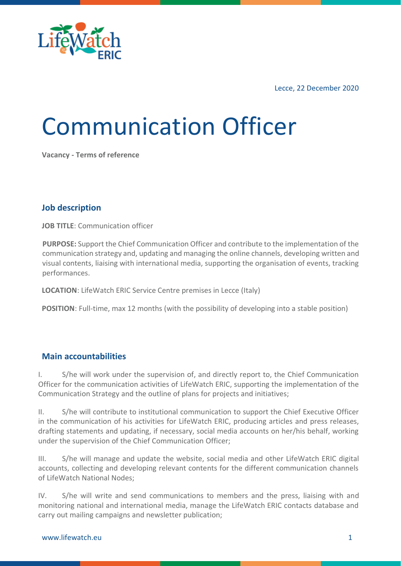

Lecce, 22 December 2020

# Communication Officer

**Vacancy - Terms of reference**

#### **Job description**

**JOB TITLE:** Communication officer

**PURPOSE:** Support the Chief Communication Officer and contribute to the implementation of the communication strategy and, updating and managing the online channels, developing written and visual contents, liaising with international media, supporting the organisation of events, tracking performances.

**LOCATION**: LifeWatch ERIC Service Centre premises in Lecce (Italy)

**POSITION**: Full-time, max 12 months (with the possibility of developing into a stable position)

#### **Main accountabilities**

I. S/he will work under the supervision of, and directly report to, the Chief Communication Officer for the communication activities of LifeWatch ERIC, supporting the implementation of the Communication Strategy and the outline of plans for projects and initiatives;

II. S/he will contribute to institutional communication to support the Chief Executive Officer in the communication of his activities for LifeWatch ERIC, producing articles and press releases, drafting statements and updating, if necessary, social media accounts on her/his behalf, working under the supervision of the Chief Communication Officer;

III. S/he will manage and update the website, social media and other LifeWatch ERIC digital accounts, collecting and developing relevant contents for the different communication channels of LifeWatch National Nodes;

IV. S/he will write and send communications to members and the press, liaising with and monitoring national and international media, manage the LifeWatch ERIC contacts database and carry out mailing campaigns and newsletter publication;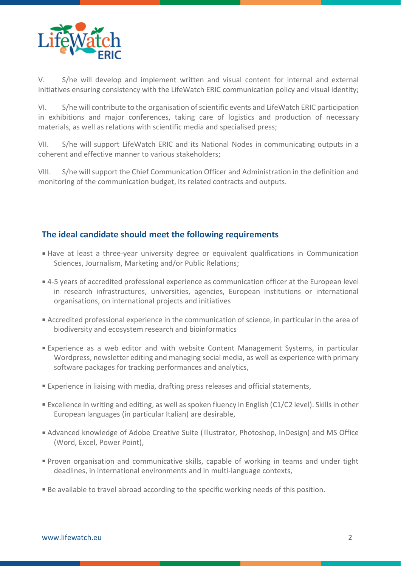

V. S/he will develop and implement written and visual content for internal and external initiatives ensuring consistency with the LifeWatch ERIC communication policy and visual identity;

VI. S/he will contribute to the organisation of scientific events and LifeWatch ERIC participation in exhibitions and major conferences, taking care of logistics and production of necessary materials, as well as relations with scientific media and specialised press;

VII. S/he will support LifeWatch ERIC and its National Nodes in communicating outputs in a coherent and effective manner to various stakeholders;

VIII. S/he will support the Chief Communication Officer and Administration in the definition and monitoring of the communication budget, its related contracts and outputs.

## **The ideal candidate should meet the following requirements**

- Have at least a three-year university degree or equivalent qualifications in Communication Sciences, Journalism, Marketing and/or Public Relations;
- 4-5 years of accredited professional experience as communication officer at the European level in research infrastructures, universities, agencies, European institutions or international organisations, on international projects and initiatives
- Accredited professional experience in the communication of science, in particular in the area of biodiversity and ecosystem research and bioinformatics
- Experience as a web editor and with website Content Management Systems, in particular Wordpress, newsletter editing and managing social media, as well as experience with primary software packages for tracking performances and analytics,
- Experience in liaising with media, drafting press releases and official statements,
- Excellence in writing and editing, as well as spoken fluency in English (C1/C2 level). Skills in other European languages (in particular Italian) are desirable,
- Advanced knowledge of Adobe Creative Suite (Illustrator, Photoshop, InDesign) and MS Office (Word, Excel, Power Point),
- Proven organisation and communicative skills, capable of working in teams and under tight deadlines, in international environments and in multi-language contexts,
- Be available to travel abroad according to the specific working needs of this position.